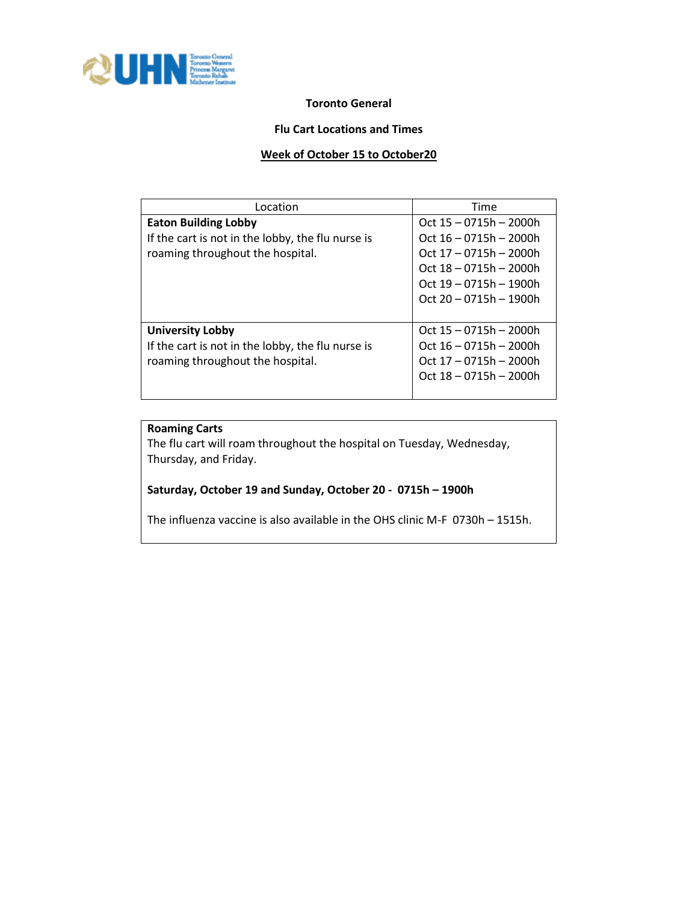

## **Toronto General**

## **Flu Cart Locations and Times**

## **Week of October 15 to October20**

| Location                                          | Time                     |
|---------------------------------------------------|--------------------------|
| <b>Eaton Building Lobby</b>                       | Oct $15 - 0715h - 2000h$ |
| If the cart is not in the lobby, the flu nurse is | Oct $16 - 0715h - 2000h$ |
| roaming throughout the hospital.                  | Oct 17 - 0715h - 2000h   |
|                                                   | Oct $18 - 0715h - 2000h$ |
|                                                   | Oct $19 - 0715h - 1900h$ |
|                                                   | $Oct 20 - 0715h - 1900h$ |
|                                                   |                          |
| <b>University Lobby</b>                           | Oct 15 - 0715h - 2000h   |
| If the cart is not in the lobby, the flu nurse is | Oct $16 - 0715h - 2000h$ |
| roaming throughout the hospital.                  | Oct 17 - 0715h - 2000h   |
|                                                   | $Oct 18 - 0715h - 2000h$ |
|                                                   |                          |

## **Roaming Carts**

The flu cart will roam throughout the hospital on Tuesday, Wednesday, Thursday, and Friday.

## **Saturday, October 19 and Sunday, October 20 - 0715h – 1900h**

The influenza vaccine is also available in the OHS clinic M-F 0730h – 1515h.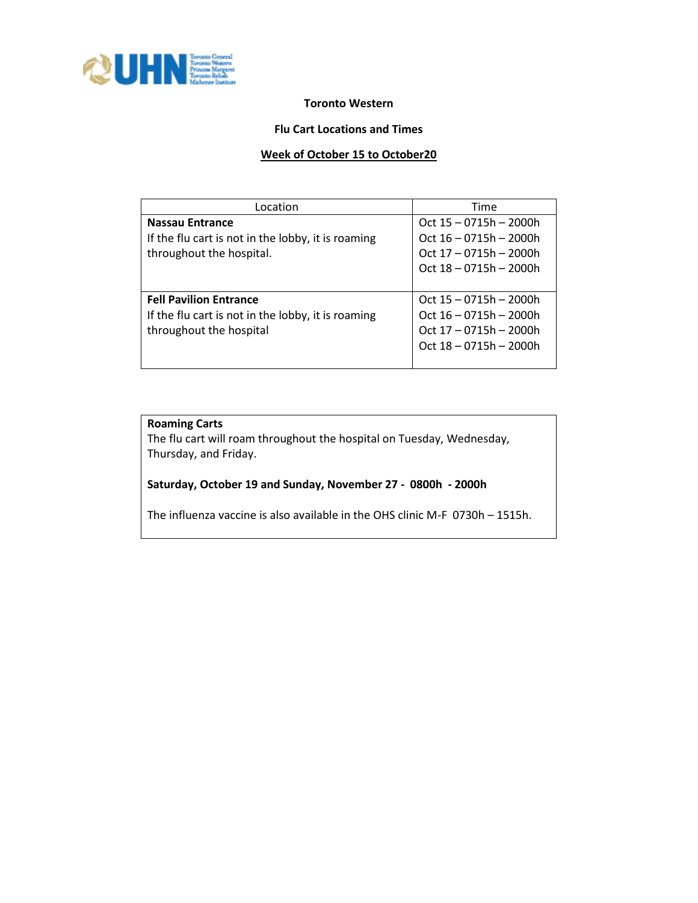

## **Toronto Western**

#### **Flu Cart Locations and Times**

#### **Week of October 15 to October20**

| Location                                           | Time                     |
|----------------------------------------------------|--------------------------|
| Nassau Entrance                                    | Oct $15 - 0715h - 2000h$ |
| If the flu cart is not in the lobby, it is roaming | Oct $16 - 0715h - 2000h$ |
| throughout the hospital.                           | Oct 17 - 0715h - 2000h   |
|                                                    | Oct $18 - 0715h - 2000h$ |
|                                                    |                          |
| <b>Fell Pavilion Entrance</b>                      | Oct $15 - 0715h - 2000h$ |
| If the flu cart is not in the lobby, it is roaming | Oct 16 - 0715h - 2000h   |
| throughout the hospital                            | Oct 17 - 0715h - 2000h   |
|                                                    | Oct 18 - 0715h - 2000h   |
|                                                    |                          |

# **Roaming Carts**

The flu cart will roam throughout the hospital on Tuesday, Wednesday, Thursday, and Friday.

# **Saturday, October 19 and Sunday, November 27 - 0800h - 2000h**

The influenza vaccine is also available in the OHS clinic M-F 0730h – 1515h.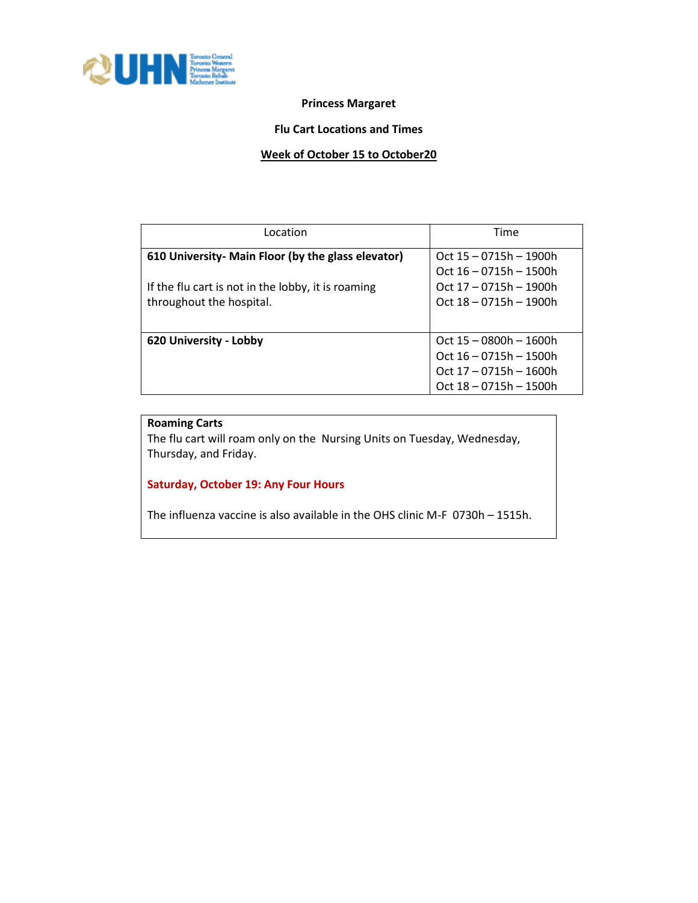

## **Princess Margaret**

## **Flu Cart Locations and Times**

## **Week of October 15 to October20**

| Location                                                                       | Time                                                     |
|--------------------------------------------------------------------------------|----------------------------------------------------------|
| 610 University- Main Floor (by the glass elevator)                             | $Oct$ 15 $-$ 0715h $-$ 1900h<br>$Oct 16 - 0715h - 1500h$ |
| If the flu cart is not in the lobby, it is roaming<br>throughout the hospital. | Oct 17 - 0715h - 1900h<br>$Oct 18 - 0715h - 1900h$       |
|                                                                                |                                                          |
| 620 University - Lobby                                                         | Oct 15 - 0800h - 1600h                                   |
|                                                                                | Oct $16 - 0715h - 1500h$                                 |
|                                                                                | Oct 17 - 0715h - 1600h                                   |
|                                                                                | Oct 18 - 0715h - 1500h                                   |

# **Roaming Carts**

The flu cart will roam only on the Nursing Units on Tuesday, Wednesday, Thursday, and Friday.

# **Saturday, October 19: Any Four Hours**

The influenza vaccine is also available in the OHS clinic M-F 0730h – 1515h.